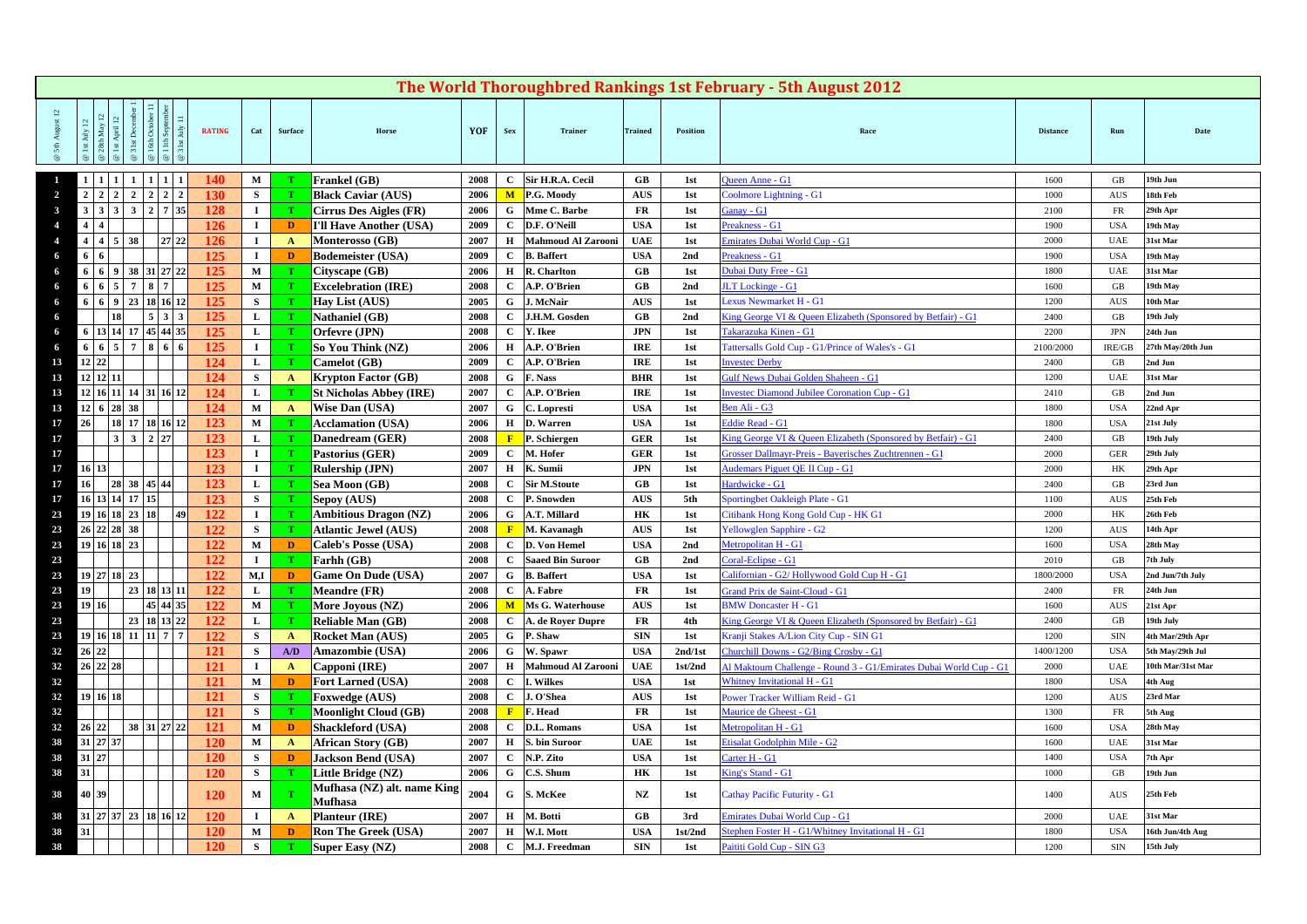|                                                                                       |                                                               |              |                           |                                  |                    | The World Thoroughbred Rankings 1st February - 5th August 2012                                          |                   |                          |                                       |
|---------------------------------------------------------------------------------------|---------------------------------------------------------------|--------------|---------------------------|----------------------------------|--------------------|---------------------------------------------------------------------------------------------------------|-------------------|--------------------------|---------------------------------------|
| 11th Sept<br>31st July<br><b>RATING</b><br>Surface<br>Cat<br>ŏ                        | YOF<br>Horse                                                  | Sex          | Trainer                   | <b>Trained</b>                   | <b>Position</b>    | Race                                                                                                    | <b>Distance</b>   | Run                      | Date                                  |
| M<br>140                                                                              | <b>Frankel</b> (GB)<br>2008                                   | $\mathbf{C}$ | Sir H.R.A. Cecil          | $G$ B                            | 1st                | Queen Anne - G1                                                                                         | 1600              | GB                       | 19th Jun                              |
| $2 \mid 2 \mid 2 \mid 2$<br>130<br>$\overline{2}$<br>$2 \mid 2 \mid 2 \mid$<br>S      | <b>Black Caviar (AUS)</b><br>2006                             | M            | P.G. Moody                | <b>AUS</b>                       | 1st                | Coolmore Lightning - G1                                                                                 | 1000              | AUS                      | 18th Feb                              |
| $3 \mid 2 \mid 7 \mid 35$<br>128<br>$3 \mid 3 \mid 3$<br>$\mathbf{I}$<br>$\mathbf{3}$ | 2006<br>Cirrus Des Aigles (FR)                                | G            | Mme C. Barbe              | <b>FR</b>                        | 1st                | Ganay - G1                                                                                              | 2100              | <b>FR</b>                | 29th Apr                              |
| 126<br>$\mathbf{I}$<br>$4 \mid 4$<br>D<br>$\boldsymbol{\Lambda}$                      | 2009<br>I'll Have Another (USA)                               | C            | D.F. O'Neill              | <b>USA</b>                       | 1st                | Preakness - G1                                                                                          | 1900              | <b>USA</b>               | 19th May                              |
| 27 22<br>126<br>$4 \mid 4 \mid 5 \mid 38$<br>$\mathbf{I}$<br>A                        | 2007<br>Monterosso (GB)                                       | Н            | <b>Mahmoud Al Zarooni</b> | <b>UAE</b>                       | 1st                | Emirates Dubai World Cup - G1                                                                           | 2000              | <b>UAE</b>               | 31st Mar                              |
| 125<br>6<br>$\mathbf{I}$<br>D<br>- 6                                                  | <b>Bodemeister (USA)</b><br>2009                              | C            | <b>B.</b> Baffert         | <b>USA</b>                       | 2nd                | Preakness - G1                                                                                          | 1900              | <b>USA</b>               | 19th May                              |
| 38 31 27 22<br>125<br>$\mathbf M$<br>$6 \mid 6 \mid 9$                                | 2006<br>Cityscape (GB)                                        | н            | R. Charlton               | $G$ B                            | 1st                | Dubai Duty Free - G1                                                                                    | 1800              | <b>UAE</b>               | 31st Mar                              |
| 125<br>7 8 7<br>$\mathbf{M}$<br>6   6   5                                             | <b>Excelebration (IRE)</b><br>2008                            |              | A.P. O'Brien              | $G$ B                            | 2nd                | <b>JLT</b> Lockinge - G1                                                                                | 1600              | GB                       | 19th May                              |
| 6 6 9 23 18 16 12<br>125<br>S<br>- 6                                                  | Hay List (AUS)<br>2005                                        | G            | J. McNair                 | <b>AUS</b>                       | 1st                | Lexus Newmarket H - G1                                                                                  | 1200              | AUS                      | 10th Mar                              |
| $5 \mid 3 \mid 3$<br>125<br>L                                                         | <b>Nathaniel (GB)</b><br>2008                                 |              | J.H.M. Gosden             | GB                               | 2 <sub>nd</sub>    | King George VI & Queen Elizabeth (Sponsored by Betfair) - G1                                            | 2400              | GB                       | 19th July                             |
| 6   13   14   17   45   44   35<br>125<br>L<br>- 6                                    | 2008<br>Orfevre (JPN)                                         | $\mathbf{C}$ | Y. Ikee                   | <b>JPN</b>                       | 1st                | Takarazuka Kinen - G1                                                                                   | 2200              | JPN                      | 24th Jun                              |
| 7 8 6 6<br>125<br>6 6 5<br>$\mathbf{I}$<br>- 6                                        | 2006<br>So You Think (NZ)                                     | н            | A.P. O'Brien              | <b>IRE</b>                       | 1st                | <b>Tattersalls Gold Cup - G1/Prince of Wales's - G1</b>                                                 | 2100/2000         | IRE/GB                   | 27th May/20th Jun                     |
| $12 \mid 22$<br>124<br>$\mathbf{L}$<br>13                                             | 2009<br>Camelot (GB)                                          |              | A.P. O'Brien              | <b>IRE</b>                       | 1st                | <b>Invested Derby</b>                                                                                   | 2400              | GB                       | 2nd Jun                               |
| $12$ 12 11<br>124<br>S<br>13<br>A                                                     | <b>Krypton Factor (GB)</b><br>2008                            | G            | F. Nass                   | <b>BHR</b>                       | 1st                | Gulf News Dubai Golden Shaheen - G1                                                                     | 1200              | <b>UAE</b>               | 31st Mar                              |
| 124<br>12 16 11 14 31 16 12<br>13<br>L                                                | 2007<br><b>St Nicholas Abbey (IRE)</b>                        |              | A.P. O'Brien              | <b>IRE</b>                       | 1st                | <b>Investec Diamond Jubilee Coronation Cup - G1</b>                                                     | 2410              | GB                       | 2nd Jun                               |
| 12 6 28 38<br>124<br>$\mathbf{M}$<br>13<br>A                                          | Wise Dan (USA)<br>2007                                        | G            | C. Lopresti               | <b>USA</b>                       | 1st                | Ben Ali - G3                                                                                            | 1800              | <b>USA</b>               | 22nd Apr                              |
| 26<br>18 17 18 16 12<br>123<br>M<br>17                                                | 2006<br><b>Acclamation (USA)</b>                              | Н            | D. Warren                 | <b>USA</b>                       | 1st                | <b>Eddie Read - G1</b>                                                                                  | 1800              | <b>USA</b>               | 21st July                             |
| $3 \mid 2 \mid 27$<br>123<br>17<br>L                                                  | 2008<br>Danedream (GER)                                       |              | P. Schiergen              | <b>GER</b>                       | 1st                | King George VI & Queen Elizabeth (Sponsored by Betfair) - G1                                            | 2400              | GB                       | 19th July                             |
| 123<br>17<br>$\bf{I}$                                                                 | 2009<br>Pastorius (GER)                                       | C            | M. Hofer                  | <b>GER</b>                       | 1st                | Grosser Dallmayr-Preis - Bayerisches Zuchtrennen - G1                                                   | 2000              | GER                      | 29th July                             |
| 123<br>$\mathbf{I}$<br>17<br>16<br>13                                                 | 2007<br><b>Rulership (JPN)</b>                                | H            | K. Sumii                  | <b>JPN</b>                       | 1st                | <b>Audemars Piguet QE II Cup - G1</b>                                                                   | 2000              | HK                       | 29th Apr                              |
| 16<br>38 45 44<br>123<br>L<br>17<br><b>28</b>                                         | Sea Moon (GB)<br>2008                                         |              | <b>Sir M.Stoute</b>       | GB                               | 1st                | Hardwicke - G1                                                                                          | 2400              | GB                       | 23rd Jun                              |
| 16 13 14 17 15<br>123<br>S<br>17                                                      | 2008<br>Sepoy (AUS)                                           | C.           | P. Snowden                | <b>AUS</b>                       | 5th                | Sportingbet Oakleigh Plate - G1                                                                         | 1100              | AUS                      | 25th Feb                              |
| 122<br>19 16 18 23 18<br> 49 <br>23<br>$\mathbf{I}$                                   | <b>Ambitious Dragon (NZ)</b><br>2006                          | G            | A.T. Millard              | HК                               | 1st                | Citibank Hong Kong Gold Cup - HK G1                                                                     | 2000              | HK                       | 26th Feb                              |
| 26 22 28 38<br>122<br>S<br>23                                                         | 2008<br><b>Atlantic Jewel (AUS)</b>                           |              | M. Kavanagh               | <b>AUS</b>                       | 1st                | Yellowglen Sapphire - G2                                                                                | 1200              | AUS                      | 14th Apr                              |
| 19 16 18 23<br>122<br>$\mathbf{M}$<br>23<br>D                                         | 2008<br><b>Caleb's Posse (USA)</b>                            | C            | D. Von Hemel              | <b>USA</b>                       | 2nd                | Metropolitan H - G1                                                                                     | 1600              | <b>USA</b>               | 28th May                              |
| 23<br>122<br>$\bf{I}$                                                                 | 2008<br>Farhh (GB)                                            |              | <b>Saaed Bin Suroor</b>   | $G$ B                            | 2nd                | Coral-Eclipse - G1                                                                                      | 2010              | GB                       | 7th July                              |
| 19 27 18 23<br>122<br>M,I<br>23<br>D                                                  | <b>Game On Dude (USA)</b><br>2007                             | G            | <b>B.</b> Baffert         | <b>USA</b>                       | 1st                | Californian - G2/ Hollywood Gold Cup H - G1                                                             | 1800/2000         | <b>USA</b>               | 2nd Jun/7th July                      |
| 19<br>23   18   13   11  <br>122<br>23<br>L                                           | <b>Meandre (FR)</b><br>2008                                   | C.           | A. Fabre                  | <b>FR</b>                        | 1st                | Grand Prix de Saint-Cloud - G1                                                                          | 2400              | FR                       | 24th Jun                              |
| 45 44 35<br>122<br>19 16<br>23<br>M                                                   | 2006<br>More Joyous (NZ)                                      | M            | Ms G. Waterhouse          | <b>AUS</b>                       | 1st                | <b>BMW Doncaster H - G1</b>                                                                             | 1600              | AUS                      | 21st Apr                              |
| 23   18   13   22<br>122<br>23<br>L<br>19 16 18 11 11 7 7<br>23                       | 2008<br><b>Reliable Man (GB)</b><br>2005                      | C            | A. de Royer Dupre         | FR<br><b>SIN</b>                 | 4th                | King George VI & Queen Elizabeth (Sponsored by Betfair) - G1                                            | 2400              | GB                       | 19th July<br>4th Mar/29th Apr         |
| 122<br>S<br>$\mathbf{A}$<br>26 22 <br>121<br>A/D                                      | <b>Rocket Man (AUS)</b><br>2006                               |              | G P. Shaw<br>W. Spawr     | <b>USA</b>                       | 1st                | Kranji Stakes A/Lion City Cup - SIN G1<br>Churchill Downs - G2/Bing Crosby - G1                         | 1200              | SIN                      |                                       |
| 32<br>S<br>26 22 28<br>32<br>121<br>$\mathbf{I}$<br>$\mathbf{A}$                      | Amazombie (USA)<br>2007<br>Capponi (IRE)                      | G<br>Н       | <b>Mahmoud Al Zarooni</b> | <b>UAE</b>                       | 2nd/1st<br>1st/2nd |                                                                                                         | 1400/1200<br>2000 | <b>USA</b><br><b>UAE</b> | 5th May/29th Jul<br>10th Mar/31st Mar |
| 32<br>121<br>$\mathbf{M}$<br>D                                                        | 2008<br>Fort Larned (USA)                                     | $\mathbf{C}$ | I. Wilkes                 | <b>USA</b>                       | 1st                | Al Maktoum Challenge - Round 3 - G1/Emirates Dubai World Cup - G1<br><b>Whitney Invitational H - G1</b> | 1800              | <b>USA</b>               | 4th Aug                               |
| 19 16 18<br>121<br>32<br>S                                                            | 2008<br><b>Foxwedge (AUS)</b>                                 | $\mathbf{C}$ | J. O'Shea                 | $\mathbf{A}\mathbf{U}\mathbf{S}$ | 1st                | Power Tracker William Reid - G1                                                                         | 1200              | AUS                      | 23rd Mar                              |
| 32<br>121<br>S                                                                        | 2008<br><b>Moonlight Cloud (GB)</b>                           |              | $\mathbf{F}$ . Head       | FR                               | 1st                | Maurice de Gheest - G1                                                                                  | 1300              | FR                       | 5th Aug                               |
| 38 31 27 22<br>121<br>32<br>$\mathbf{M}$<br>26 22<br>D                                | 2008                                                          | $\mathbf{C}$ | D.L. Romans               | <b>USA</b>                       | 1st                | Metropolitan H - G1                                                                                     | 1600              | <b>USA</b>               | 28th May                              |
| 38<br>31 27 37<br>120<br>$\mathbf{M}$<br>$\mathbf{A}$                                 | <b>Shackleford (USA)</b><br>2007<br><b>African Story (GB)</b> | H            | S. bin Suroor             | <b>UAE</b>                       | 1st                | Etisalat Godolphin Mile - G2                                                                            | 1600              | <b>UAE</b>               | 31st Mar                              |
| 31 27<br>38<br>120<br>S<br>D                                                          | 2007<br><b>Jackson Bend (USA)</b>                             | $\mathbf{C}$ | N.P. Zito                 | <b>USA</b>                       | 1st                | Carter H - G1                                                                                           | 1400              | <b>USA</b>               | 7th Apr                               |
| 31<br>120<br>S<br>38                                                                  | 2006<br>Little Bridge (NZ)                                    | G            | C.S. Shum                 | HK                               | 1st                | King's Stand - G1                                                                                       | 1000              | GB                       | 19th Jun                              |
|                                                                                       | Mufhasa (NZ) alt. name King                                   |              |                           |                                  |                    |                                                                                                         |                   |                          |                                       |
| 40 39<br>$\mathbf{M}$<br>38<br>120                                                    | 2004<br><b>Mufhasa</b>                                        | G            | S. McKee                  | NZ                               | 1st                | <b>Cathay Pacific Futurity - G1</b>                                                                     | 1400              | AUS                      | 25th Feb                              |
| 31   27   37   23   18   16   12<br>120<br>$\mathbf{I}$<br>38<br>$\mathbf{A}$         | Planteur (IRE)<br>2007                                        |              | H M. Botti                | $G$ B                            | 3rd                | Emirates Dubai World Cup - G1                                                                           | 2000              | <b>UAE</b>               | 31st Mar                              |
| 31<br>120<br>38<br>$\mathbf{M}$<br>D                                                  | <b>Ron The Greek (USA)</b><br>2007                            |              | H W.I. Mott               | <b>USA</b>                       | 1st/2nd            | Stephen Foster H - G1/Whitney Invitational H - G1                                                       | 1800              | <b>USA</b>               | 16th Jun/4th Aug                      |
| 120<br>38<br>S                                                                        | Super Easy (NZ)<br>2008                                       | $\mathbf{C}$ | M.J. Freedman             | <b>SIN</b>                       | 1st                | Paititi Gold Cup - SIN G3                                                                               | 1200              | SIN                      | 15th July                             |